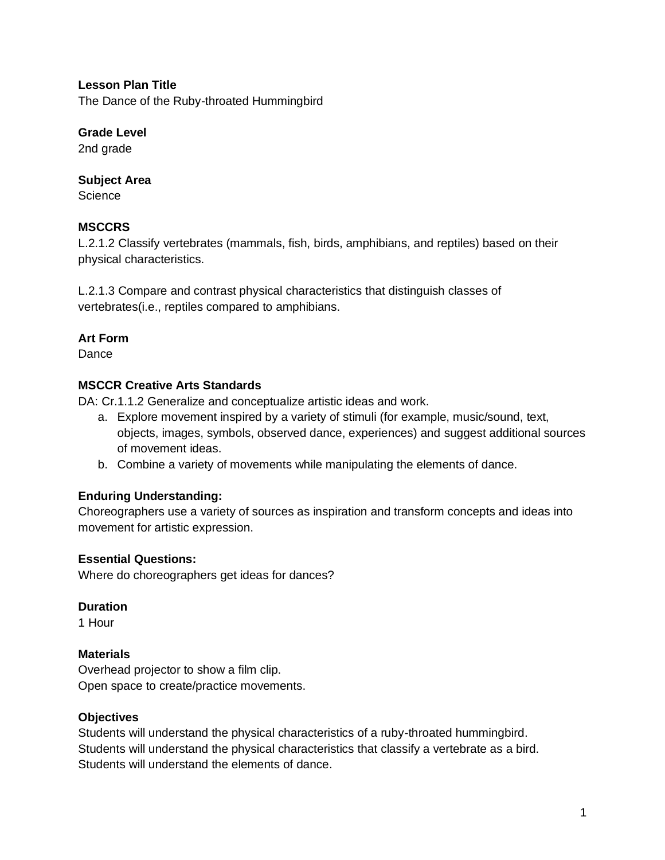**Lesson Plan Title**

The Dance of the Ruby-throated Hummingbird

# **Grade Level**

2nd grade

# **Subject Area**

**Science** 

# **MSCCRS**

L.2.1.2 Classify vertebrates (mammals, fish, birds, amphibians, and reptiles) based on their physical characteristics.

L.2.1.3 Compare and contrast physical characteristics that distinguish classes of vertebrates(i.e., reptiles compared to amphibians.

# **Art Form**

**Dance** 

# **MSCCR Creative Arts Standards**

DA: Cr.1.1.2 Generalize and conceptualize artistic ideas and work.

- a. Explore movement inspired by a variety of stimuli (for example, music/sound, text, objects, images, symbols, observed dance, experiences) and suggest additional sources of movement ideas.
- b. Combine a variety of movements while manipulating the elements of dance.

# **Enduring Understanding:**

Choreographers use a variety of sources as inspiration and transform concepts and ideas into movement for artistic expression.

### **Essential Questions:**

Where do choreographers get ideas for dances?

### **Duration**

1 Hour

### **Materials**

Overhead projector to show a film clip. Open space to create/practice movements.

### **Objectives**

Students will understand the physical characteristics of a ruby-throated hummingbird. Students will understand the physical characteristics that classify a vertebrate as a bird. Students will understand the elements of dance.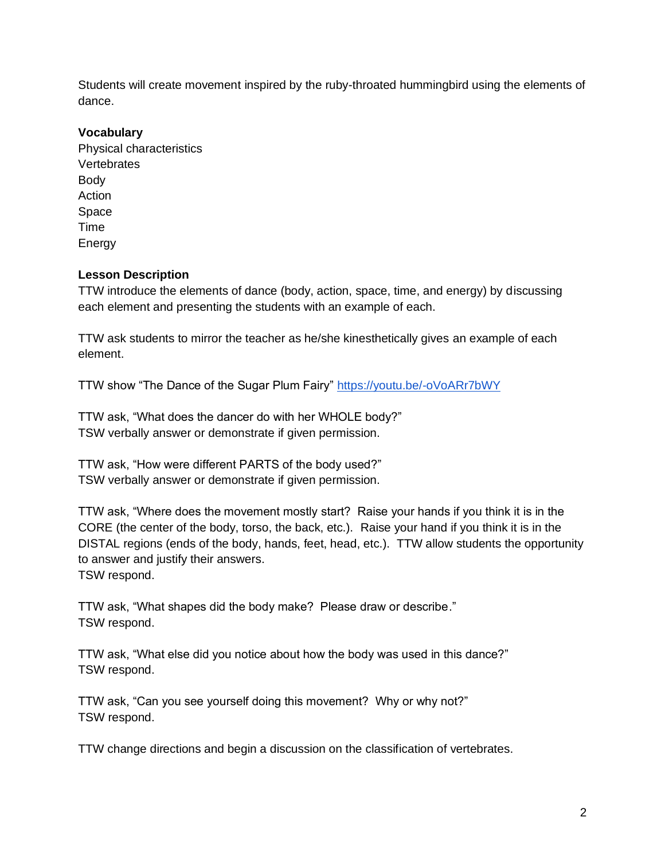Students will create movement inspired by the ruby-throated hummingbird using the elements of dance.

### **Vocabulary**

Physical characteristics **Vertebrates** Body Action Space Time Energy

## **Lesson Description**

TTW introduce the elements of dance (body, action, space, time, and energy) by discussing each element and presenting the students with an example of each.

TTW ask students to mirror the teacher as he/she kinesthetically gives an example of each element.

TTW show "The Dance of the Sugar Plum Fairy"<https://youtu.be/-oVoARr7bWY>

TTW ask, "What does the dancer do with her WHOLE body?" TSW verbally answer or demonstrate if given permission.

TTW ask, "How were different PARTS of the body used?" TSW verbally answer or demonstrate if given permission.

TTW ask, "Where does the movement mostly start? Raise your hands if you think it is in the CORE (the center of the body, torso, the back, etc.). Raise your hand if you think it is in the DISTAL regions (ends of the body, hands, feet, head, etc.). TTW allow students the opportunity to answer and justify their answers. TSW respond.

TTW ask, "What shapes did the body make? Please draw or describe." TSW respond.

TTW ask, "What else did you notice about how the body was used in this dance?" TSW respond.

TTW ask, "Can you see yourself doing this movement? Why or why not?" TSW respond.

TTW change directions and begin a discussion on the classification of vertebrates.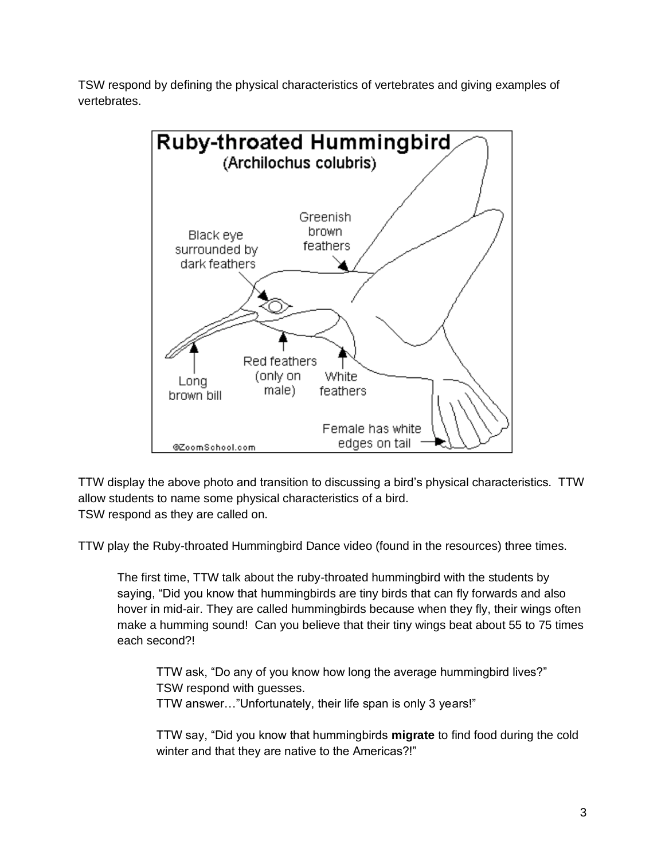TSW respond by defining the physical characteristics of vertebrates and giving examples of vertebrates.



TTW display the above photo and transition to discussing a bird's physical characteristics. TTW allow students to name some physical characteristics of a bird. TSW respond as they are called on.

TTW play the Ruby-throated Hummingbird Dance video (found in the resources) three times.

The first time, TTW talk about the ruby-throated hummingbird with the students by saying, "Did you know that hummingbirds are tiny birds that can fly forwards and also hover in mid-air. They are called hummingbirds because when they fly, their wings often make a humming sound! Can you believe that their tiny wings beat about 55 to 75 times each second?!

TTW ask, "Do any of you know how long the average hummingbird lives?" TSW respond with guesses. TTW answer…"Unfortunately, their life span is only 3 years!"

TTW say, "Did you know that hummingbirds **migrate** to find food during the cold winter and that they are native to the Americas?!"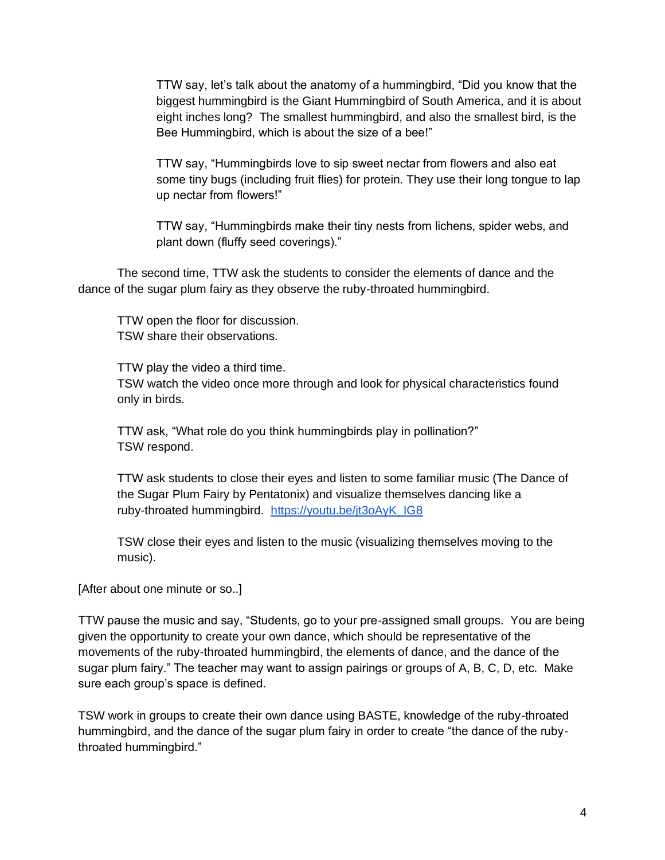TTW say, let's talk about the anatomy of a hummingbird, "Did you know that the biggest hummingbird is the Giant Hummingbird of South America, and it is about eight inches long? The smallest hummingbird, and also the smallest bird, is the Bee Hummingbird, which is about the size of a bee!"

TTW say, "Hummingbirds love to sip sweet nectar from flowers and also eat some tiny bugs (including fruit flies) for protein. They use their long tongue to lap up nectar from flowers!"

TTW say, "Hummingbirds make their tiny nests from lichens, spider webs, and plant down (fluffy seed coverings)."

The second time, TTW ask the students to consider the elements of dance and the dance of the sugar plum fairy as they observe the ruby-throated hummingbird.

TTW open the floor for discussion. TSW share their observations.

TTW play the video a third time. TSW watch the video once more through and look for physical characteristics found only in birds.

TTW ask, "What role do you think hummingbirds play in pollination?" TSW respond.

TTW ask students to close their eyes and listen to some familiar music (The Dance of the Sugar Plum Fairy by Pentatonix) and visualize themselves dancing like a ruby-throated hummingbird. [https://youtu.be/jt3oAyK\\_IG8](https://youtu.be/jt3oAyK_IG8)

TSW close their eyes and listen to the music (visualizing themselves moving to the music).

[After about one minute or so..]

TTW pause the music and say, "Students, go to your pre-assigned small groups. You are being given the opportunity to create your own dance, which should be representative of the movements of the ruby-throated hummingbird, the elements of dance, and the dance of the sugar plum fairy." The teacher may want to assign pairings or groups of A, B, C, D, etc. Make sure each group's space is defined.

TSW work in groups to create their own dance using BASTE, knowledge of the ruby-throated hummingbird, and the dance of the sugar plum fairy in order to create "the dance of the rubythroated hummingbird."